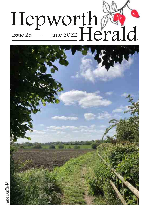

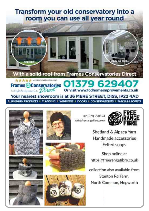# Transform your old conservatory into a room you can use all year round



With a solid roof from Frames Conservatories Direct

THE THE THE TAP MULTI AWARD-WINNING **Frames Conservatories** Su Contra Hondings and Care Direct Or visit www.fcdhomeimprovements.co.uk

Your nearest showroom is at 36 MERE STREET, DISS, IP22 4AD ALUMINIUM PRODUCTS + CLADDING + WINDOWS + DOORS + CONSERVATORIES + FASCIAS & SOFFITS



(01359) 250594 kath@freerangefibre.co.uk

1379 6294



Shetland & Alpaca Yarn Handmade accessories Felted soaps

Shop online at https://freerangefibre.co.uk

collection also available from Stanton Rd Farm. North Common, Hepworth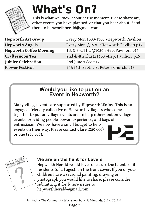

# **What's On?**

This is what we know about at the moment. Please share any other events you have planned, or that you hear about. Send them to hepworthherald@gmail.com

| <b>Hepworth Art Group</b>      |
|--------------------------------|
| <b>Hepworth Angels</b>         |
| <b>Hepworth Coffee Morning</b> |
| Crafternoon Tea                |
| Jubilee Celebration            |
| <b>Flower Festival</b>         |

Every Mon 1000-1300 »Hepworth Pavilion Every Mon @1930 »Hepworth Pavilion.p17 1st & 3rd Thu @1030 »Hep. Pavilion. p15 2nd & 4th Thu @1400 »Hep. Pavilion. p15 2nd June » See p12 24&25th Sept. » St Peter's Church. p13

# **Would you like to put on an Event in Hepworth?**

Many village events are supported by **Hepworth2Enjoy**. This is an engaged, friendly collective of Hepworth villagers who come together to put on village events and to help others put on village events, providing people-power, experience, and bags of enthusiasm! We now have a small budget to help events on their way. Please contact Clare (250 660) enthusiasm! We now have a small budget to help<br>events on their way. Please contact Clare (250 660)<br>or Sue (250 037).



## **We are on the hunt for Covers**

Hepworth Herald would love to feature the talents of its residents (of all ages!) on the front cover. If you or your children have a seasonal painting, drawing or photograph you would like to share, please consider submitting it for future issues to hepworthherald@gmail.com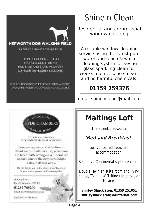

RUN FREE AND TRAIN IN SAFETY 1/2 HOUR OR HOURLY SESSIONS.

FOR ALL RODIONSS PLEASE MSIT OUR WEBSITE: WWW.HEPWORTHOOGWALKINGFIELD.CO.UK

# Shine n Clean

Residential and commercial window cleaning

A reliable window cleaning service using the latest pure water and reach & wash cleaning systems, leaving glass sparkling clean for weeks, no mess, no smears and no harmful chemicals.

# **01359 259376**



email shinenclean@mail.com

# **Maltings Loft**

The Street, Hepworth.

# **'Bed and Breakfast'**

Self contained detached accommodation.

Self serve Continental style breakfast.

Double/ Twin en suite room and living space, TV and WiFi. Ring for details or to view.

**Shirley Shackleton. 01359 251051 shirleyshackleton@btinternet.com**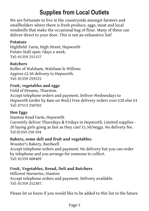# **Supplies from Local Outlets**

We are fortunate to live in the countryside amongst farmers and smallholders where there is fresh produce, eggs, meat and local windmills that make the occasional bag of flour. Many of these can deliver direct to your door. This is not an exhaustive list!

#### **Potatoes**

Highfield Farm, High Street, Hepworth Potato Stall open 7days a week. Tel: 01359 251157

#### **Butchers**

Rolfes of Walsham, Walsham le Willows Approx £2.50 delivery to Hepworth. Tel: 01359 259225

#### **Fruit, vegetables and eggs**

Field of Dreams, Thurston Accept telephone orders and payment. Deliver Wednesdays to Hepworth (order by 8am on Wed.) Free delivery orders over £20 else £4 Tel: 07513 350702

#### **Hen Eggs**

Stanton Road Farm, Hepworth Currently deliver Thursdays & Fridays in Hepworth. Limited supplies - 20 laying girls going as fast as they can! £1.50/6eggs. No delivery fee. Tel 01359 250 594

#### **Bakers, some deli and fruit and vegetables.**

Wooster's Bakery, Bardwell Accept telephone orders and payment. No delivery but you can order by telephone and you arrange for someone to collect. Tel: 01359 408409

#### **Fruit, Vegetables, Bread, Deli and Butchers**

Hillcrest Nurseries, Stanton Accept telephone orders and payment. Delivery available. Tel: 01359 252307.

Please let us know if you would like to be added to this list in the future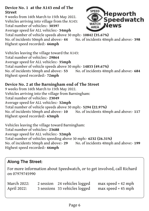#### **Device No. 1 at the A143 end of The Street**

9 weeks from 16th March to 15th May 2022. Vehicles arriving into village from the A143: Total number of vehicles:- **30397** Average speed for ALL vehicles:- **34mph**



Total number of vehicle speeds above 30 mph:- **10842 (35.67%)** No. of incidents 50mph and above:- **44** No. of incidents 40mph and above:- **398** Highest speed recorded:- **66mph**

Vehicles leaving the village toward the A143: Total number of vehicles:- **29864** Average speed for ALL vehicles:- **35mph** Total number of vehicle speeds above 30 mph:- **14833 (49.67%)** No. of incidents 50mph and above:- **53** No. of incidents 40mph and above:- **684** Highest speed recorded:- **72mph**

#### **Device No. 2 at the Barningham end of The Street**

9 weeks from 16th March to 15th May 2022. Vehicles arriving into the village from Barningham: Total number of vehicles:- **23049** Average speed for ALL vehicles:- **32mph** Total number of vehicle speeds above 30 mph:- **5294 (22.97%)** No. of incidents 50mph and above:- **10** No. of incidents 40mph and above:- **117** Highest speed recorded:- **63mph**

Vehicles leaving the village toward Barningham: Total number of vehicles:- **23688** Average speed for ALL vehicles:- **32mph** Total number of vehicles speeding above 30 mph:- **6232 (26.31%)** No. of incidents 50mph and above:- **29** No. of incidents 40mph and above:- **199** Highest speed recorded:- **66mph**

## **Along The Street**:

For more information about Speedwatch, or to get involved, call Richard on 07979745990

| March 2022: | 2 session 24 vehicles logged  | $max$ speed = 42 mph |
|-------------|-------------------------------|----------------------|
| April 2022: | 3 sessions 33 vehicles logged | $max$ speed = 45 mph |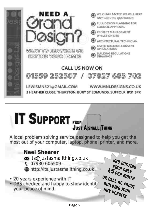

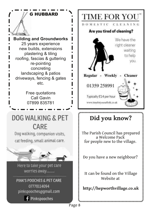G HUBBARD

**Building and Groundworks** 25 years experience new builds, extensions plastering & tiling roofing, fascias & guttering re-pointing concreting landscaping & patios driveways, fencing & gates etc.

> Free quotations Call Gavin 07899 835781

DOG WALKING & PET CARE

Dog walking, companion visits. cat feeding, small animal care.



Here to take your pet care worries away........

PINK'S POOCHES & PET CARE 07778114094 pinkspooches@gmail.com





# **Did you know?**

The Parish Council has prepared a Welcome Pack for people new to the village.

Do you have a new neighbour?

It can be found on the Village Website at

**http://hepworthvillage.co.uk**

Page 8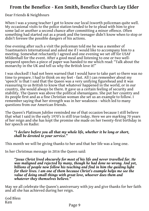## **From the Benefice - Ken Smith, Benefice Church Lay Elder**

Dear Friends & Neighbours

When I was a young teacher I got to know our local Ixworth policeman quite well. My occasional visits to the police station tended to be to plead with him to give some lad or another a second chance after committing a minor offence. Often something had started out as a prank and the teenager didn't know when to stop or didn't foresee the possible dangers of his actions.

One evening after such a visit the policeman told me he was a member of Toastmasters International and asked me if I would like to accompany him to a meeting. Somewhat reluctantly I agreed and one evening we set off for USAF Mildenhall for the event. After a good meal and listening to one or two wellprepared speeches a piece of paper was handed to me which read: "Talk about the monarchy in the UK and tell us why the British love it!"

I was shocked! I had not been warned that I would have to take part so there was no time to prepare. I had to think on my feet - fast. All I can remember about my 'speech' is that I said that the Queen was a very unifying figurehead and it was reassuring to us British to know that whatever happened in the world, or in our country, she would always be there. It gave us a certain feeling of security and stability. The Queen was above the political shenanigans. She put her country and its people first and as a fine Christian woman she set us an example to follow. I remember saying that her strength was in her weakness - which led to many questions from our American friends.

The Queen's Platinum Jubilee reminded me of that occasion because I still believe that what I said in the early 1970's is still true today. Here we are marking 70 years of her reign and she has kept the promise she made on her twenty-first birthday in her speech on Radio:

#### *"I declare before you all that my whole life, whether it be long or short, shall be devoted to your service."*

This month we will be giving thanks to her and that her life was a long one.

In her Christmas message in 2016 the Queen said:

*"Jesus Christ lived obscurely for most of his life and never travelled far. He was maligned and rejected by many, though he had done no wrong. And yet, billions of people now follow his teaching and find in him the guiding light for their lives. I am one of them because Christ's example helps me see the value of doing small things with great love, whoever does them and whatever they themselves believe."*

May we all celebrate the Queen's anniversary with joy and give thanks for her faith and all she has achieved during her reign.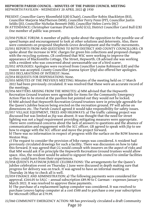#### **HEPWORTH PARISH COUNCIL - MINUTES OF THE PARISH COUNCIL MEETING** HEPWORTH PAVILION - WEDNESDAY 20 APRIL 2022 @ 1930

- PRESENT: Councillor Garry Bloomfield (GB) (Chair), Councillor Robin Shackleton (RS), Councillor Marjorie MacPherson (MM), Councillor Perry Penn (PP), Councillor Justin Seldis (JS), Councillor Nicholas Bennett (NB), Councillor Helen Corris (HC)
- IN ATTENDANCE: Christopher Garman (Parish Clerk) (CG), District Councillor Carol Bull (CB) One member of public was present.
- 22/050 PUBLIC FORUM: A member of public spoke about the opposition to the possible use of speed humps and encouragement to look at other solutions and deterrents. Also, there were comments on proposed Shepherds Grove development and the traffic movements.
- 22/051 REPORTS FROM AND QUESTIONS TO BOTH DISTRICT AND COUNTY COUNCILLORS: CB spoke about the increase in WSC charges for green bin collections and proposed changes with the recycling systems. CB confirmed that WSC were working to improve the appearance of Blacksmiths Cottage, The Street, Hepworth. CB advised she was working with a resident who was concerned about unreasonable use of a bird scarer.
- 22/052 APOLOGIES: Apologies were received from Councillor Louise Robinson (LR) and the reason was accepted. County Councillor Joanna Spicer (JSp) also offered her apologies. 22/053 DECLARATIONS OF INTEREST: None.
- 22/054 REQUESTS FOR DISPENSATIONS: None.
- 22/055 MINUTES OF THE PREVIOUS MEETING: Minutes of the meeting held on 17 March 2022 had been previously circulated. It was resolved that these were an accurate record of the meetings.
- 22/056 MATTERS ARISING FROM THE MINUTES: a) MM advised that the Hepworth Recreation Ground trustees were agreeable for items for the Community Emergency Action Plan to be stored at the pavilion but pointed out they would not be locked. b) MM advised that Hepworth Recreation Ground trustees were in principle agreeable for the Queen's Jubilee beacon being erected on the recreation ground. PP will advise on dimensions etc. The Parish Council agreed it would take responsibility for safety issues.
- 22/057 VILLAGE EQUIPMENT, TREES AND HIGHWAYS: a) The traffic calming project was discussed but was limited as JSp was absent. It was thought that the need for street lighting was not a legal requirement providing mitigating measures were appropriate. There were continued concerns about the lack of answers to questions and the absence of communication and engagement with the SCC officer. GB agreed to speak with JSp to see how to engage with the SCC officer and move the project forward.

b) There was no information in respect of progress with the surface on the ROW known as Weston Way.

c) The request to consider the provision of bike ramps was considered. A resident had previously circulated drawings for such a facility. There was discussion on how to take this forward. It was agreed that CG would consult with insurers on the aspect of risks and that MM would ask if in principle the Hepworth Recreation Ground trustees would allow space. Also, the resident would be asked to signpost the parish council to similar facilities so they could learn from their experiences.

- 22/058 QUEEN'S PLATINUM JUBILEE CELEBRATIONS: The arrangements for the Queen's Jubilee celebration event on Thursday 2 June were discussed in depth making sure that progress for delivery was on track. It was agreed to have an informal meeting on Thursday 26 May to check all is well.
- 22/059 FINANCE AND ADMINISTRATION: a) The following payments were considered for approval. £264.05 to SALC – annual subscription £89.90 to C Garman – expenses January to March 2022. It was resolved to approve these payments.

b) The purchase of a replacement laptop computer was considered. It was resolved to purchase Lenovo laptop computer at a cost £500 and to purchase a one year subscription for Microsoft Office at £79.99.

22/060 COMMUNITY EMERGENCY ACTION: NB has previously circulated a draft Community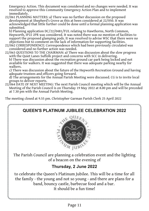Emergency Action. This document was considered and no changes were needed. It was resolved to approve this Community Emergency Action Plan and to implement immediately.

22/061 PLANNING MATTERS: a) There was no further discussion on the proposed development at Shepherd's Grove as this at been considered at 22/050. It was acknowledged that little further could be done until a formal planning application was submitted.

b) Planning application DC/22/0481/FUL relating to Hawthorns, North Common, Hepworth, IP22 2PR was considered. It was noted there was no mention of facilities to support the proposed glamping pods. It was resolved to advise WSC that there were no objections but to comment on the lack of information for supporting facilities.

- 22/062 CORRESPONDENCE: Correspondence which had been previously circulated was considered and no further action was needed.
- 22/063 QUESTIONS TO THE CHAIRMAN: a) There was discussion about the slow progress with the Quiet Lanes Suffolk project and concerns with SCC in delivering.

b) There was discussion about the recreation ground car park being locked and not available for walkers. It was suggested that there was adequate parking nearby for walkers.

c) There was discussion about the future of the Hepworth Recreation Ground and having adequate trustees and officers going forward.

d) The arrangements for the Annual Parish Meeting were discussed. CG is to invite local groups to deliver reports.

22/064 DATE OF NEXT MEETING: The next Parish Council meeting which will be the Annual Meeting of the Parish Council is on Thursday 19 May 2022 at 8.00 pm and will be preceded at 7.30 pm with the Annual Parish Meeting.

The meeting closed at 9.55 pm. Christopher Garman Parish Clerk 25 April 2022

 $\mathcal{E}$  , and an intermediate definition of the continuum continuous continuous continuous continuous continuous continuous continuous continuous continuous continuous continuous continuous continuous continuous continuo

**QUEEN'S PLATINUM JUBILEE CELEBRATION 2022**



The Parish Council are planning a celebration event and the lighting of a beacon on the evening of

 $\frac{1}{2}$ 

## **Thursday, 2 June 2022**

to celebrate the Queen's Platinum Jubilee. This will be a time for all the family - the young and not so young - and there are plans for a band, bouncy castle, barbecue food and a bar. It should be a fun time!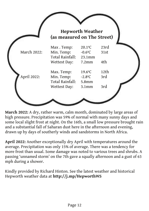|             | <b>Hepworth Weather</b><br>(as measured on The Street)             |                                                                   |                     |  |  |
|-------------|--------------------------------------------------------------------|-------------------------------------------------------------------|---------------------|--|--|
| March 2022: | Max. Temp:<br>Min. Temp:<br>Total Rainfall:<br><b>Wettest Day:</b> | $20.1$ <sup>o</sup> C<br>$-0.6$ <sup>o</sup> C<br>23.1mm<br>7.2mm | 23rd<br>31st<br>4th |  |  |
| April 2022: | Max. Temp:<br>Min. Temp:<br>Total Rainfall:<br>Wettest Day:        | $19.6^{\circ}$ C<br>$-2.8^{\circ}C$<br>5.8mm<br>3.1mm             | 12th<br>3rd<br>3rd  |  |  |

**March 2022:** A dry, rather warm, calm month, dominated by large areas of high pressure. Precipitation was 59% of normal with many sunny days and some local slight frost at night. On the 16th, a small low pressure brought rain and a substantial fall of Saharan dust here in the afternoon and evening, drawn up by days of southerly winds and sandstorms in North Africa.

**April 2022:** Another exceptionally dry April with temperatures around the average. Precipitation was only 15% of average. There was a tendency for more frost than usual. Some damage was noted to various trees and shrubs. A passing 'unnamed storm' on the 7th gave a squally afternoon and a gust of 63 mph during a shower.

Kindly provided by Richard Hinton. See the latest weather and historical Hepworth weather data at **http://j.mp/HepworthWS**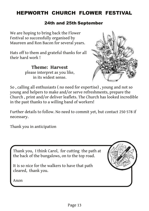# HEPWORTH CHURCH FLOWER FESTIVAL

#### 24th and 25th September

We are hoping to bring back the Flower Festival so successfully organised by Maureen and Ron Bacon for several years.

Hats off to them and grateful thanks for all their hard work !

> **Theme: Harvest** please interpret as you like, in its widest sense.



So , calling all enthusiasts ( no need for expertise) , young and not so young and helpers to make and/or serve refreshments, prepare the Church , print and/or deliver leaflets. The Church has looked incredible in the past thanks to a willing band of workers!

Further details to follow. No need to commit yet, but contact 250 578 if necessary.

Thank you in anticipation

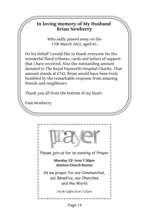### **In loving memory of My Husband Brian Newberry**

Who sadly passed away on the 17th March 2022, aged 83.

On his behalf I would like to thank everyone for the wonderful floral tributes, cards and letters of support that I have received. Also the outstanding amount donated to The Royal Papworth Hospital Charity. That amount stands at £742. Brian would have been truly humbled by the remarkable response from amazing friends and neighbours.

Thank you all from the bottom of my heart.

Pam Newberry



Page 14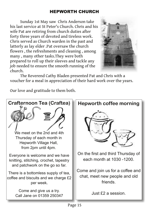### HEPWORTH CHURCH

Sunday 1st May saw Chris Anderson take his last service at St Peter's Church. Chris and his wife Pat are retiring from church duties after forty three years of devoted and tireless work. Chris served as Church warden in the past and latterly as lay elder .Pat oversaw the church flowers , the refreshments and cleaning , among many , many other tasks.They were both prepared to roll up their sleeves and tackle any job needed to ensure the smooth running of the church.



The Reverend Cathy Bladen presented Pat and Chris with a voucher for a meal in appreciation of their hard work over the years.

Our love and gratitude to them both.

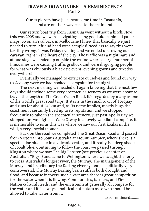### **TRAVELS DOWNUNDER - A REMINISCENCE** Part 8

Our explorers have just spent some time in Tasmania, and are on their way back to the mainland

Our return boat trip from Tasmania went without a hitch. Now, this was 2005 and we were navigating using good old fashioned paper maps. So on arrival back in Melbourne I knew that basically we just needed to turn left and head west. Simples! Needless to say this went terribly wrong. It was Friday evening and we ended up, towing our caravan, right in the heart of the city. The traffic was a nightmare and at one stage we ended up outside the casino where a large number of limousines were causing traffic gridlock and were disgorging people for what was obviously a black tie event, evening gowns and tuxedos everywhere!

Eventually we managed to extricate ourselves and found our way to Geelong were we had booked a campsite for the night.

The next morning we headed off again knowing that the next few days should include some very spectacular scenery as we were about to travel the length of The Great Ocean Road. It's regarded by many as one of the world's great road trips. It starts in the small town of Torquay and runs for about 240km and, as its name implies, mostly hugs the coastline. It certainly lived up to its reputation and we stopped frequently to take in the spectacular scenery. Just past Apollo Bay we stopped for two nights at Cape Otway in a lovely woodland campsite. It is memorable to us as this was where we saw our first koalas in the wild, a very special moment.

Back on the road we completed The Great Ocean Road and passed from Victoria into South Australia at Mount Gambier, where there is a spectacular blue lake in a volcanic crater, and it really is a deep shade of cobalt blue. Continuing to follow the coast we passed through Kingston where we saw The Big Lobster (see previous chapter on Australia's "Bigs") and came to Wellington where we caught the ferry to cross Australia's longest river, the Murray. The management of the Murray, and its tributary the Darling river system, is politically very controversial. The Murray Darling basin suffers both drought and flood, and because it covers such a vast area there is great competition for the water when it is flowing. Communities, farmers, and First Nation cultural needs, and the environment generally all compete for the water and it is always a political hot potato as to who should be allowed to take water from it.

to be continued.........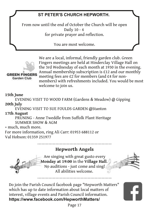## **ST PETER'S CHURCH HEPWORTH.**

From now until the end of October the Church will be open Daily 10 - 4 for private prayer and reflection.

You are most welcome.



We are a local, informal, friendly garden club. Green Fingers meetings are held at Hinderclay Village Hall on the 3rd Wednesday of each month at 1930 in the evening. Annual membership subscription is £12 and our monthly meeting fees are £2 for members (and £4 for nonmembers) with refreshments included. You would be most

**GREEN FINGERS** Garden Club

**15th June**

EVENING VISIT TO WOOD FARM (Gardens & Meadow) @ Gipping **20th July**

EVENING VISIT TO SUE FOULDS GARDEN @Stanton

welcome to join us.

**17th August**

PRUNING - Anne Tweddle from Suffolk Plant Heritage SUMMER SHOW & AGM

+ much, much more.

For more information, ring Ali Carr: 01953 688112 or Val Hobson: 01359 251977

# **Hepworth Angels**

Are singing with great gusto every **Monday at 19:00** in the **Village Hall**. No auditions - just come and sing! All abilities welcome.



Do join the Parish Council facebook page "Hepworth Matters" which has up to date information about local matters of interest, village events and Parish Council information. **https://www.facebook.com/HepworthMatters/**



Page 17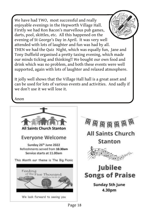We have had TWO, most successful and really enjoyable evenings in the Hepworth Village Hall. Firstly we had Ron Bacon's marvellous pub games, darts, pool, skittles, etc. All this happened on the evening of St George's Day in April. It was very well attended with lots of laughter and fun was had by all. THEN we had the Quiz Night, which was equally fun, Jane and Tony Duffield organised a pretty taxing evening, which made our minds ticking and thinking!! We bought our own food and drink which was no problem, and both these events were well supported, again with lots of laughter and relaxed atmosphere.

It jolly well shows that the Village Hall hall is a great asset and can be used for lots of various events and activities. And sadly if we don't use it we will lose it.

Anon

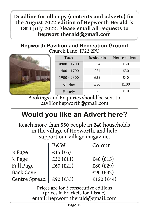**Deadline for all copy (contents and adverts) for the August 2022 edition of Hepworth Herald is 18th July 2022. Please email all requests to hepworthherald@gmail.com**

**Hepworth Pavilion and Recreation Ground** Church Lane, IP22 2PU

| Time          | Residents | Non-residents |
|---------------|-----------|---------------|
| $0900 - 1200$ | £24       | £30           |
| $1400 - 1700$ | £24       | £30           |
| $1900 - 2300$ | £32       | £40           |
| All day       | £80       | £100          |
| Hourly        | £8        | £10           |

Bookings and Enquiries should be sent to pavilionhepworth@gmail.com

# **Would you like an Advert here?**

Reach more than 550 people in 240 households in the village of Hepworth, and help support our village magazine.

|                      | B&W         | Colour      |
|----------------------|-------------|-------------|
| 1/ <sub>4</sub> Page | £15 $(6)$   |             |
| 1/2 Page             | £30 $(E11)$ | £40 $(f15)$ |
| Full Page            | £60(E22)    | £80 (£29)   |
| <b>Back Cover</b>    |             | £90 $(E33)$ |
| Centre Spread        | £90 $(£33)$ | £120 (£44)  |
|                      |             |             |

Prices are for 3 consecutive editions (prices in brackets for 1 issue) email: hepworthherald@gmail.com